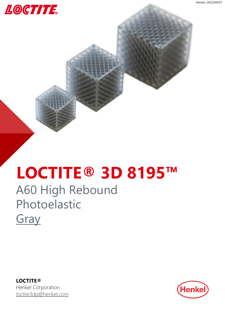

## **LOCTITE® 3D 8195™**

### A60 High Rebound Photoelastic **[Gray](#page-2-0)**

**LOCTITE®** Henkel Corporation [loctite3dp@henkel.com](mailto:loctite3dp@henkel.com)

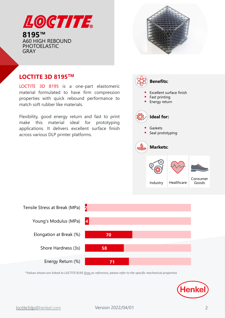



#### **LOCTITE 3D 8195TM**

LOCTITE 3D 8195 is a one-part elastomeric material formulated to have firm compression properties with quick rebound performance to match soft rubber like materials.

Flexibility, good energy return and fast to print make this material ideal for prototyping applications. It delivers excellent surface finish across various DLP printer platforms.





*\*Values shown are linked to LOCTITE 8195 Gray as reference, please refer to the specific mechanical properties*

![](_page_1_Picture_9.jpeg)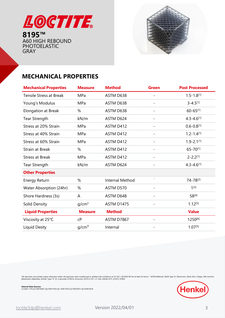<span id="page-2-0"></span>![](_page_2_Picture_0.jpeg)

![](_page_2_Picture_2.jpeg)

#### **MECHANICAL PROPERTIES**

| <b>Mechanical Properties</b>   | <b>Measure</b>    | <b>Method</b>          | <b>Green</b>             | <b>Post Processed</b> |
|--------------------------------|-------------------|------------------------|--------------------------|-----------------------|
| <b>Tensile Stress at Break</b> | MPa               | ASTM D638              | $\overline{\phantom{0}}$ | $1.5 - 1.8^{[1]}$     |
| Young's Modulus                | MPa               | ASTM D638              |                          | $3 - 4.5^{[1]}$       |
| Elongation at Break            | %                 | ASTM D638              |                          | $60 - 65^{[1]}$       |
| <b>Tear Strength</b>           | kN/m              | ASTM D624              |                          | $4.3 - 4.6^{[1]}$     |
| Stress at 20% Strain           | MPa               | ASTM D412              |                          | $0.6 - 0.8^{[1]}$     |
| Stress at 40% Strain           | MPa               | ASTM D412              | $\overline{\phantom{0}}$ | $1.2 - 1.4^{[1]}$     |
| Stress at 60% Strain           | MPa               | ASTM D412              |                          | $1.9 - 2.1^{[1]}$     |
| <b>Strain at Break</b>         | %                 | ASTM D412              |                          | 65-70[1]              |
| <b>Stress at Break</b>         | MPa               | ASTM D412              |                          | $2 - 2.2^{[1]}$       |
| <b>Tear Strength</b>           | kN/m              | ASTM D624              |                          | $4.3 - 4.6^{[1]}$     |
| <b>Other Properties</b>        |                   |                        |                          |                       |
| <b>Energy Return</b>           | %                 | <b>Internal Method</b> | $\overline{\phantom{a}}$ | 74-78[2]              |
| Water Absorption (24hr)        | %                 | ASTM D570              |                          | $1^{[3]}$             |
| Shore Hardness (3s)            | A                 | ASTM D648              |                          | 58[4]                 |
| Solid Density                  | g/cm <sup>3</sup> | ASTM D1475             |                          | $1.12^{[5]}$          |
| <b>Liquid Properties</b>       | <b>Measure</b>    | <b>Method</b>          |                          | <b>Value</b>          |
| Viscosity at 25°C              | cP                | ASTM D7867             |                          | 1250[6]               |
| Liquid Desity                  | g/cm <sup>3</sup> | Internal               |                          | $1.07^{[5]}$          |

"All specimen are printed unless otherwise noted. All specimen were conditioned in ambient lab conditions at 19-23C / 40-60% RH for at least 24 hours." ASTM Methods: D638 Type IV, 50mm/min, D624, Die C Shape, 500 mm/min<br>(

![](_page_2_Picture_6.jpeg)

**Internal Data <mark>Sources:</mark><br>[1] GEN 1170 [2] FOR16947 [3]] FOR17053 [4] FOR17055 [5] FOR16971 [6] FOR57678**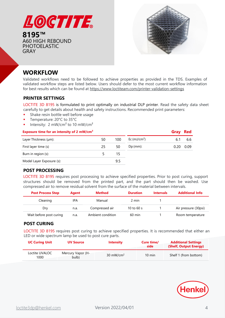![](_page_3_Picture_0.jpeg)

![](_page_3_Picture_2.jpeg)

#### **WORKFLOW**

Validated workflows need to be followed to achieve properties as provided in the TDS. Examples of validated workflow steps are listed below. Users should defer to the most current workflow information for best results which can be found at <https://www.loctiteam.com/printer-validation-settings>

#### **PRINTER SETTINGS**

LOCTITE 3D 8195 is formulated to print optimally on industrial DLP printer. Read the safety data sheet carefully to get details about health and safety instructions. Recommended print parameters:

- Shake resin bottle well before usage
- Temperature: 20°C to 35°C
- Intensity: 2 mW/cm<sup>2</sup> to 10 mW/cm<sup>2</sup>

| Exposure time for an intensity of 2 mW/cm <sup>2</sup> |    | Gray | <b>Red</b>    |      |      |
|--------------------------------------------------------|----|------|---------------|------|------|
| Layer Thickness (µm):                                  | 50 | 100  | Ec $(mJ/cm2)$ | 6.1  | 6.6  |
| First layer time (s)                                   | 25 | 50   | $Dp$ (mm):    | 0.20 | 0.09 |
| Burn in region (s):                                    |    | 15   |               |      |      |
| Model Layer Exposure (s):                              |    | 9.5  |               |      |      |

#### **POST PROCESSING**

LOCTITE 3D 8195 requires post processing to achieve specified properties. Prior to post curing, support structures should be removed from the printed part, and the part should then be washed. Use compressed air to remove residual solvent from the surface of the material between intervals.

| <b>Post Process Step</b> | Agent | <b>Method</b>     | <b>Duration</b>  | <b>Intervals</b> | <b>Additional Info</b> |
|--------------------------|-------|-------------------|------------------|------------------|------------------------|
| Cleaning                 | IPA   | Manual            | 2 min            |                  |                        |
| Dry                      | n.a.  | Compressed air    | 10 to 60 s       |                  | Air pressure (30psi)   |
| Wait before post curing  | n.a.  | Ambient condition | $60 \text{ min}$ |                  | Room temperature       |

#### **POST CURING**

LOCTITE 3D 8195 requires post curing to achieve specified properties. It is recommended that either an LED or wide spectrum lamp be used to post cure parts.

| <b>UC Curing Unit</b>  | <b>UV Source</b>           | <b>Intensity</b>     | Cure time/<br>side | <b>Additional Settings</b><br>(Shelf, Output Energy) |
|------------------------|----------------------------|----------------------|--------------------|------------------------------------------------------|
| Loctite UVALOC<br>1000 | Mercury Vapor (H-<br>bulb) | $30 \text{ mW/cm}^2$ | $10 \text{ min}$   | Shelf 1 (from bottom)                                |

![](_page_3_Picture_17.jpeg)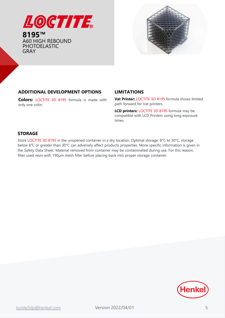![](_page_4_Picture_0.jpeg)

![](_page_4_Picture_2.jpeg)

#### **ADDITIONAL DEVELOPMENT OPTIONS**

**Colors:** LOCTITE 3D 8195 formula is made with only one color.

#### **LIMITATIONS**

**Vat Printer:** LOCTITE 3D 8195 formula shows limited path forward for Vat printers.

**LCD printers:** LOCTITE 3D 8195 formula may be compatible with LCD Printers using long exposure times.

#### **STORAGE**

Store LOCTITE 3D 8195 in the unopened container in a dry location. Optimal storage: 8°C to 30°C, storage below 8°C or greater than 30°C can adversely affect products properties. More specific information is given in the Safety Data Sheet. Material removed from container may be contaminated during use. For this reason, filter used resin with 190µm mesh filter before placing back into proper storage container.

![](_page_4_Picture_10.jpeg)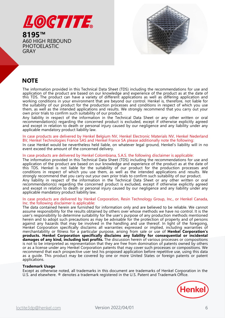![](_page_5_Picture_0.jpeg)

![](_page_5_Picture_2.jpeg)

#### **NOTE**

The information provided in this Technical Data Sheet (TDS) including the recommendations for use and application of the product are based on our knowledge and experience of the product as at the date of this TDS. The product can have a variety of different applications as well as differing application and working conditions in your environment that are beyond our control. Henkel is, therefore, not liable for the suitability of our product for the production processes and conditions in respect of which you use them, as well as the intended applications and results. We strongly recommend that you carry out your own prior trials to confirm such suitability of our product.

Any liability in respect of the information in the Technical Data Sheet or any other written or oral recommendation(s) regarding the concerned product is excluded, except if otherwise explicitly agreed and except in relation to death or personal injury caused by our negligence and any liability under any applicable mandatory product liability law.

#### In case products are delivered by Henkel Belgium NV, Henkel Electronic Materials NV, Henkel Nederland BV, Henkel Technologies France SAS and Henkel France SA please additionally note the following:

In case Henkel would be nevertheless held liable, on whatever legal ground, Henkel's liability will in no event exceed the amount of the concerned delivery.

#### In case products are delivered by Henkel Colombiana, S.A.S. the following disclaimer is applicable:

The information provided in this Technical Data Sheet (TDS) including the recommendations for use and application of the product are based on our knowledge and experience of the product as at the date of this TDS. Henkel is not liable for the suitability of our product for the production processes and conditions in respect of which you use them, as well as the intended applications and results. We strongly recommend that you carry out your own prior trials to confirm such suitability of our product.

Any liability in respect of the information in the Technical Data Sheet or any other written or oral recommendation(s) regarding the concerned product is excluded, except if otherwise explicitly agreed and except in relation to death or personal injury caused by our negligence and any liability under any applicable mandatory product liability law.

#### In case products are delivered by Henkel Corporation, Resin Technology Group, Inc., or Henkel Canada, Inc. the following disclaimer is applicable:

The data contained herein are furnished for information only and are believed to be reliable. We cannot assume responsibility for the results obtained by others over whose methods we have no control. It is the user's responsibility to determine suitability for the user's purpose of any production methods mentioned herein and to adopt such precautions as may be advisable for the protection of property and of persons against any hazards that may be involved in the handling and use thereof. In light of the foregoing, Henkel Corporation specifically disclaims all warranties expressed or implied, including warranties of merchantability or fitness for a particular purpose, arising from sale or use of **Henkel Corporation's products. Henkel Corporation specifically disclaims any liability for consequential or incidental damages of any kind, including lost profits.** The discussion herein of various processes or compositions is not to be interpreted as representation that they are free from domination of patents owned by others or as a license under any Henkel Corporation patents that may cover such processes or compositions. We recommend that each prospective user test his proposed application before repetitive use, using this data as a guide. This product may be covered by one or more United States or foreign patents or patent applications.

#### **Trademark Usage**

Except as otherwise noted, all trademarks in this document are trademarks of Henkel Corporation in the U.S. and elsewhere. ® denotes a trademark registered in the U.S. Patent and Trademark Office.

![](_page_5_Picture_15.jpeg)